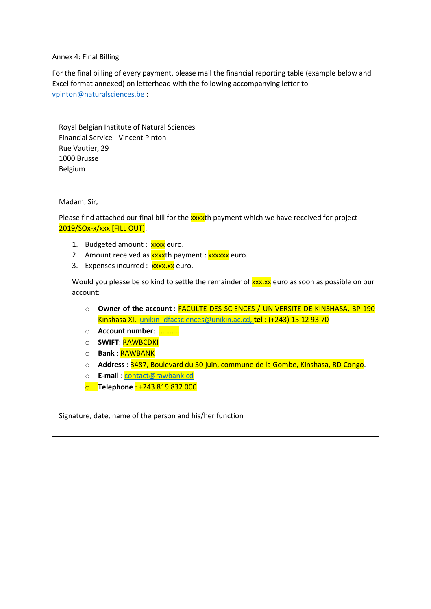## Annex 4: Final Billing

For the final billing of every payment, please mail the financial reporting table (example below and Excel format annexed) on letterhead with the following accompanying letter to vpinton@naturalsciences.be :

| Royal Belgian Institute of Natural Sciences                                                   |  |  |  |  |  |  |  |  |
|-----------------------------------------------------------------------------------------------|--|--|--|--|--|--|--|--|
| <b>Financial Service - Vincent Pinton</b>                                                     |  |  |  |  |  |  |  |  |
| Rue Vautier, 29                                                                               |  |  |  |  |  |  |  |  |
| 1000 Brusse                                                                                   |  |  |  |  |  |  |  |  |
| Belgium                                                                                       |  |  |  |  |  |  |  |  |
|                                                                                               |  |  |  |  |  |  |  |  |
|                                                                                               |  |  |  |  |  |  |  |  |
| Madam, Sir,                                                                                   |  |  |  |  |  |  |  |  |
|                                                                                               |  |  |  |  |  |  |  |  |
| Please find attached our final bill for the xxxxth payment which we have received for project |  |  |  |  |  |  |  |  |
| 2019/SOx-x/xxx [FILL OUT].                                                                    |  |  |  |  |  |  |  |  |
| 1. Budgeted amount: xxxx euro.                                                                |  |  |  |  |  |  |  |  |
| 2. Amount received as <b>xxxx</b> th payment : <b>xxxxxx</b> euro.                            |  |  |  |  |  |  |  |  |
| Expenses incurred : xxxx.xx euro.<br>3.                                                       |  |  |  |  |  |  |  |  |
|                                                                                               |  |  |  |  |  |  |  |  |
| Would you please be so kind to settle the remainder of xxx.xx euro as soon as possible on our |  |  |  |  |  |  |  |  |
| account:                                                                                      |  |  |  |  |  |  |  |  |
| Owner of the account : FACULTE DES SCIENCES / UNIVERSITE DE KINSHASA, BP 190<br>$\circ$       |  |  |  |  |  |  |  |  |
| Kinshasa XI, unikin dfacsciences@unikin.ac.cd, tel: (+243) 15 12 93 70                        |  |  |  |  |  |  |  |  |
| Account number:<br>$\circ$                                                                    |  |  |  |  |  |  |  |  |
| <b>SWIFT: RAWBCDKI</b><br>$\circ$                                                             |  |  |  |  |  |  |  |  |
| <b>Bank: RAWBANK</b><br>$\circ$                                                               |  |  |  |  |  |  |  |  |
| Address: 3487, Boulevard du 30 juin, commune de la Gombe, Kinshasa, RD Congo.<br>$\circ$      |  |  |  |  |  |  |  |  |
| E-mail: contact@rawbank.cd<br>$\circ$                                                         |  |  |  |  |  |  |  |  |
| Telephone: +243 819 832 000<br>$\overline{O}$                                                 |  |  |  |  |  |  |  |  |
|                                                                                               |  |  |  |  |  |  |  |  |
|                                                                                               |  |  |  |  |  |  |  |  |
| Signature, date, name of the person and his/her function                                      |  |  |  |  |  |  |  |  |